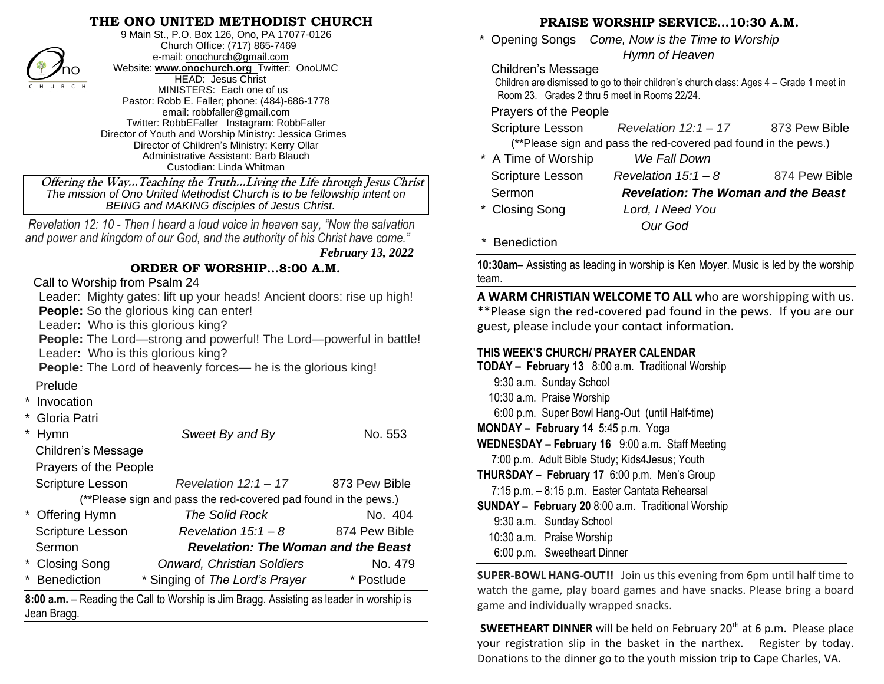## **THE ONO UNITED METHODIST CHURCH**



9 Main St., P.O. Box 126, Ono, PA 17077-0126 Church Office: (717) 865-7469 e-mail[: onochurch@gmail.com](mailto:onochurch@gmail.com) Website: **[www.onochurch.org](http://www.onochurch.org/)** Twitter: OnoUMC HEAD: Jesus Christ MINISTERS: Each one of us Pastor: Robb E. Faller; phone: (484)-686-1778 email: [robbfaller@gmail.com](mailto:robbfaller@gmail.com) Twitter: RobbEFaller Instagram: RobbFaller Director of Youth and Worship Ministry: Jessica Grimes Director of Children's Ministry: Kerry Ollar Administrative Assistant: Barb Blauch Custodian: Linda Whitman

 **Offering the Way…Teaching the Truth…Living the Life through Jesus Christ** *The mission of Ono United Methodist Church is to be fellowship intent on BEING and MAKING disciples of Jesus Christ.* 

 *Revelation 12: 10 - Then I heard a loud voice in heaven say, "Now the salvation and power and kingdom of our God, and the authority of his Christ have come."*

 *February 13, 2022* 

## **ORDER OF WORSHIP…8:00 A.M.**

Call to Worship from Psalm 24

 Leader: Mighty gates: lift up your heads! Ancient doors: rise up high! **People:** So the glorious king can enter!

Leader**:** Who is this glorious king?

 **People:** The Lord—strong and powerful! The Lord—powerful in battle! Leader**:** Who is this glorious king?

 **People:** The Lord of heavenly forces— he is the glorious king!

## Prelude

- **Invocation**
- Gloria Patri

|                                                                 | <b>Hymn</b>               | Sweet By and By                            | No. 553       |  |
|-----------------------------------------------------------------|---------------------------|--------------------------------------------|---------------|--|
|                                                                 | <b>Children's Message</b> |                                            |               |  |
|                                                                 | Prayers of the People     |                                            |               |  |
|                                                                 | <b>Scripture Lesson</b>   | Revelation $12:1 - 17$                     | 873 Pew Bible |  |
| (**Please sign and pass the red-covered pad found in the pews.) |                           |                                            |               |  |
|                                                                 | * Offering Hymn           | The Solid Rock                             | No. 404       |  |
|                                                                 | <b>Scripture Lesson</b>   | Revelation $15:1 - 8$                      | 874 Pew Bible |  |
|                                                                 | Sermon                    | <b>Revelation: The Woman and the Beast</b> |               |  |
|                                                                 | * Closing Song            | <b>Onward, Christian Soldiers</b>          | No. 479       |  |
|                                                                 | Benediction               | * Singing of The Lord's Prayer             | * Postlude    |  |

**8:00 a.m.** – Reading the Call to Worship is Jim Bragg. Assisting as leader in worship is Jean Bragg.

### **PRAISE WORSHIP SERVICE…10:30 A.M.**

 \* Opening Songs *Come, Now is the Time to Worship Hymn of Heaven* 

#### Children's Message

 Children are dismissed to go to their children's church class: Ages 4 – Grade 1 meet in Room 23. Grades 2 thru 5 meet in Rooms 22/24.

Prayers of the People

|                                                                 | Scripture Lesson | Revelation $12:1 - 17$ | 873 Pew Bible |  |  |
|-----------------------------------------------------------------|------------------|------------------------|---------------|--|--|
| (**Please sign and pass the red-covered pad found in the pews.) |                  |                        |               |  |  |
|                                                                 |                  | $\blacksquare$         |               |  |  |

| A TIME OF VYOISHIP | <i>VVE FAIL DOWN</i>                       |               |
|--------------------|--------------------------------------------|---------------|
| Scripture Lesson   | Revelation $15:1 - 8$                      | 874 Pew Bible |
| Sermon             | <b>Revelation: The Woman and the Beast</b> |               |
| * Closing Song     | Lord, I Need You                           |               |
|                    | Our God                                    |               |
|                    |                                            |               |

**Benediction** 

**10:30am**– Assisting as leading in worship is Ken Moyer. Music is led by the worship team.

**A WARM CHRISTIAN WELCOME TO ALL** who are worshipping with us. \*\*Please sign the red-covered pad found in the pews. If you are our guest, please include your contact information.

## **THIS WEEK'S CHURCH/ PRAYER CALENDAR**

| <b>TODAY - February 13</b> 8:00 a.m. Traditional Worship  |
|-----------------------------------------------------------|
| 9:30 a.m. Sunday School                                   |
| 10:30 a.m. Praise Worship                                 |
| 6:00 p.m. Super Bowl Hang-Out (until Half-time)           |
| MONDAY - February 14 5:45 p.m. Yoga                       |
| WEDNESDAY - February 16 9:00 a.m. Staff Meeting           |
| 7:00 p.m. Adult Bible Study; Kids4Jesus; Youth            |
| THURSDAY - February 17 6:00 p.m. Men's Group              |
| 7:15 p.m. - 8:15 p.m. Easter Cantata Rehearsal            |
| <b>SUNDAY - February 20</b> 8:00 a.m. Traditional Worship |
| 9:30 a.m. Sunday School                                   |
| 10:30 a.m. Praise Worship                                 |
| 6:00 p.m. Sweetheart Dinner                               |
| <b>SUPER-BOWL HANG-OUT!!</b> Join us this evening from    |

**SUPER-BOWL HANG-OUT!!** Join us this evening from 6pm until half time to watch the game, play board games and have snacks. Please bring a board game and individually wrapped snacks.

**SWEETHEART DINNER** will be held on February 20<sup>th</sup> at 6 p.m. Please place your registration slip in the basket in the narthex. Register by today. Donations to the dinner go to the youth mission trip to Cape Charles, VA.